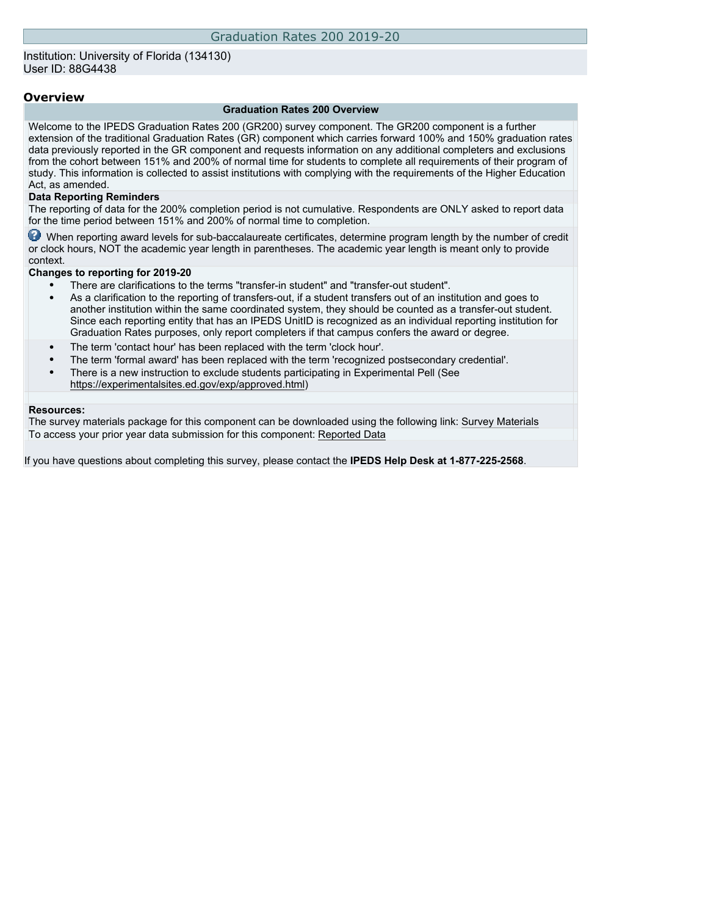### Institution: University of Florida (134130) User ID: 88G4438

### **Overview**

#### **Graduation Rates 200 Overview**

Welcome to the IPEDS Graduation Rates 200 (GR200) survey component. The GR200 component is a further extension of the traditional Graduation Rates (GR) component which carries forward 100% and 150% graduation rates data previously reported in the GR component and requests information on any additional completers and exclusions from the cohort between 151% and 200% of normal time for students to complete all requirements of their program of study. This information is collected to assist institutions with complying with the requirements of the Higher Education Act, as amended.

#### **Data Reporting Reminders**

The reporting of data for the 200% completion period is not cumulative. Respondents are ONLY asked to report data for the time period between 151% and 200% of normal time to completion.

When reporting award levels for sub-baccalaureate certificates, determine program length by the number of credit or clock hours, NOT the academic year length in parentheses. The academic year length is meant only to provide context.

#### **Changes to reporting for 2019-20**

- There are clarifications to the terms "transfer-in student" and "transfer-out student".
- As a clarification to the reporting of transfers-out, if a student transfers out of an institution and goes to another institution within the same coordinated system, they should be counted as a transfer-out student. Since each reporting entity that has an IPEDS UnitID is recognized as an individual reporting institution for Graduation Rates purposes, only report completers if that campus confers the award or degree.
- The term 'contact hour' has been replaced with the term 'clock hour'.
- The term 'formal award' has been replaced with the term 'recognized postsecondary credential'.
- There is a new instruction to exclude students participating in Experimental Pell (See [https://experimentalsites.ed.gov/exp/approved.html\)](https://experimentalsites.ed.gov/exp/approved.html)

#### **Resources:**

The survey materials package for this component can be downloaded using the following link: [Survey Materials](https://surveys.nces.ed.gov/ipeds/VisIndex.aspx) To access your prior year data submission for this component: [Reported Data](http://192.168.102.89/ipeds/PriorYearDataRedirect.aspx?survey_id=2)

If you have questions about completing this survey, please contact the **IPEDS Help Desk at 1-877-225-2568**.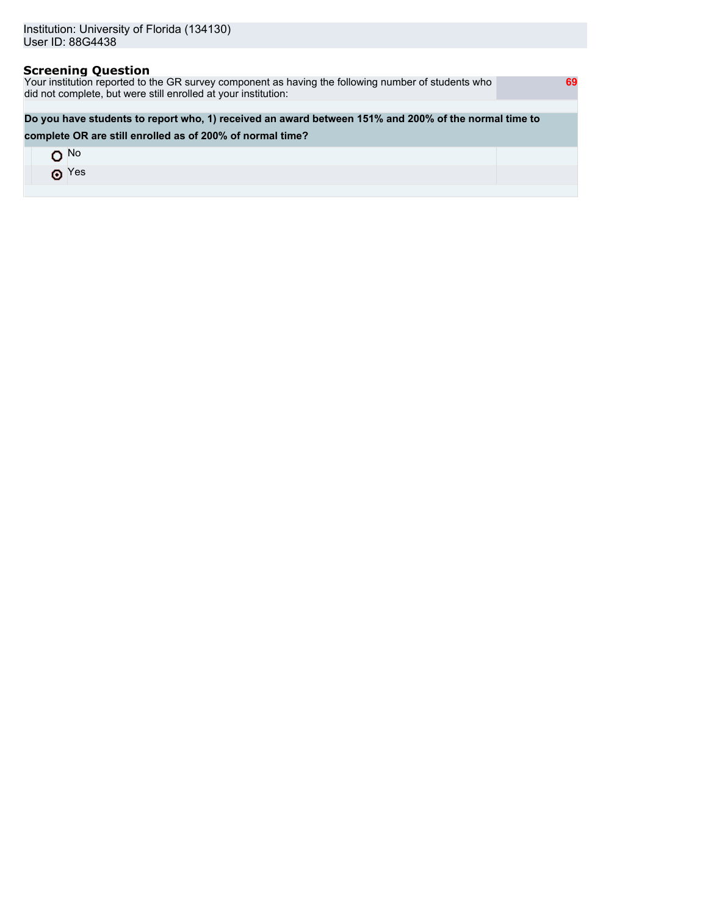## **Screening Question**

Your institution reported to the GR survey component as having the following number of students who did not complete, but were still enrolled at your institution:

## **Do you have students to report who, 1) received an award between 151% and 200% of the normal time to**

### **complete OR are still enrolled as of 200% of normal time?**

| ı No        |  |
|-------------|--|
| $\odot$ Yes |  |
|             |  |

 **69**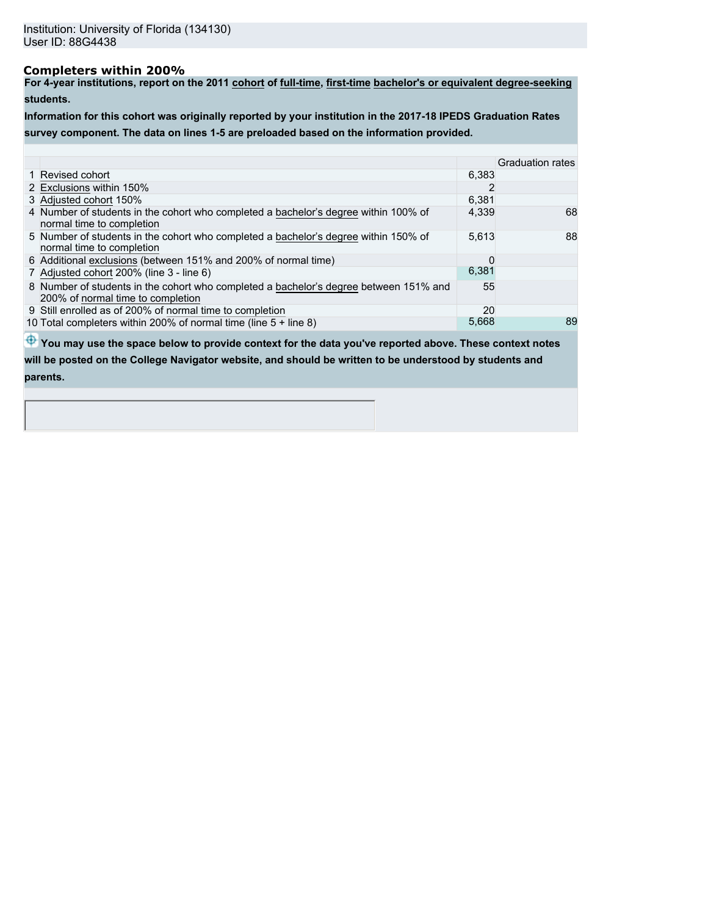## **Completers within 200%**

**For 4-year institutions, report on the 2011 cohort of full-time, first-time bachelor's or equivalent degree-seeking students.**

**Information for this cohort was originally reported by your institution in the 2017-18 IPEDS Graduation Rates survey component. The data on lines 1-5 are preloaded based on the information provided.**

|                                                                                                                            |       | <b>Graduation rates</b> |
|----------------------------------------------------------------------------------------------------------------------------|-------|-------------------------|
| 1 Revised cohort                                                                                                           | 6.383 |                         |
| 2 Exclusions within 150%                                                                                                   |       |                         |
| 3 Adjusted cohort 150%                                                                                                     | 6.381 |                         |
| 4 Number of students in the cohort who completed a bachelor's degree within 100% of<br>normal time to completion           | 4,339 | 68                      |
| 5 Number of students in the cohort who completed a bachelor's degree within 150% of<br>normal time to completion           | 5,613 | 88                      |
| 6 Additional exclusions (between 151% and 200% of normal time)                                                             |       |                         |
| 7 Adjusted cohort 200% (line 3 - line 6)                                                                                   | 6,381 |                         |
| 8 Number of students in the cohort who completed a bachelor's degree between 151% and<br>200% of normal time to completion | 55    |                         |
| 9 Still enrolled as of 200% of normal time to completion                                                                   | 20    |                         |
| 10 Total completers within 200% of normal time (line 5 + line 8)                                                           | 5,668 | 89                      |

 $\bigoplus$  **You may use the space below to provide context for the data you've reported above. These context notes** 

**will be posted on the College Navigator website, and should be written to be understood by students and parents.**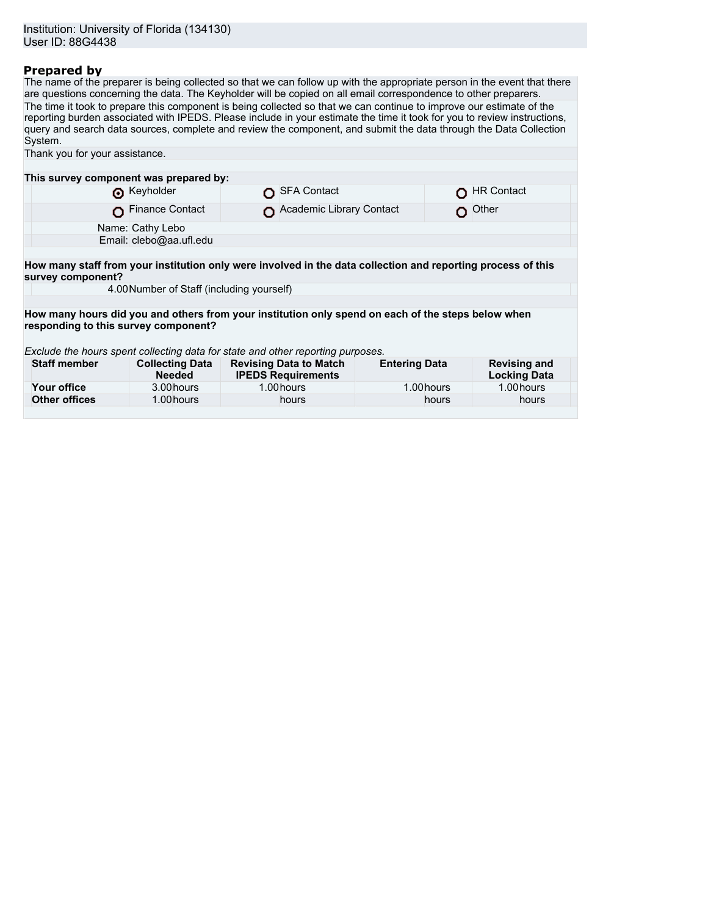## **Prepared by**

The name of the preparer is being collected so that we can follow up with the appropriate person in the event that there are questions concerning the data. The Keyholder will be copied on all email correspondence to other preparers. The time it took to prepare this component is being collected so that we can continue to improve our estimate of the reporting burden associated with IPEDS. Please include in your estimate the time it took for you to review instructions, query and search data sources, complete and review the component, and submit the data through the Data Collection System.

| Thank you for your assistance.                                                                                                    |                                         |                                                                                                    |                      |                                            |  |  |  |  |  |
|-----------------------------------------------------------------------------------------------------------------------------------|-----------------------------------------|----------------------------------------------------------------------------------------------------|----------------------|--------------------------------------------|--|--|--|--|--|
|                                                                                                                                   |                                         |                                                                                                    |                      |                                            |  |  |  |  |  |
| This survey component was prepared by:                                                                                            |                                         |                                                                                                    |                      |                                            |  |  |  |  |  |
|                                                                                                                                   | Reyholder                               | <b>SFA Contact</b>                                                                                 |                      | <b>HR Contact</b>                          |  |  |  |  |  |
|                                                                                                                                   | <b>Finance Contact</b>                  | Academic Library Contact                                                                           |                      | Other                                      |  |  |  |  |  |
| Name: Cathy Lebo                                                                                                                  |                                         |                                                                                                    |                      |                                            |  |  |  |  |  |
|                                                                                                                                   | Email: clebo@aa.ufl.edu                 |                                                                                                    |                      |                                            |  |  |  |  |  |
|                                                                                                                                   |                                         |                                                                                                    |                      |                                            |  |  |  |  |  |
| How many staff from your institution only were involved in the data collection and reporting process of this<br>survey component? |                                         |                                                                                                    |                      |                                            |  |  |  |  |  |
| 4.00 Number of Staff (including yourself)                                                                                         |                                         |                                                                                                    |                      |                                            |  |  |  |  |  |
|                                                                                                                                   |                                         |                                                                                                    |                      |                                            |  |  |  |  |  |
|                                                                                                                                   |                                         | How many hours did you and others from your institution only spend on each of the steps below when |                      |                                            |  |  |  |  |  |
| responding to this survey component?                                                                                              |                                         |                                                                                                    |                      |                                            |  |  |  |  |  |
|                                                                                                                                   |                                         |                                                                                                    |                      |                                            |  |  |  |  |  |
| Exclude the hours spent collecting data for state and other reporting purposes.                                                   |                                         |                                                                                                    |                      |                                            |  |  |  |  |  |
| <b>Staff member</b>                                                                                                               | <b>Collecting Data</b><br><b>Needed</b> | <b>Revising Data to Match</b><br><b>IPEDS Requirements</b>                                         | <b>Entering Data</b> | <b>Revising and</b><br><b>Locking Data</b> |  |  |  |  |  |
| Your office                                                                                                                       | 3.00 hours                              | 1.00 hours                                                                                         | 1.00 hours           | 1.00 hours                                 |  |  |  |  |  |
| <b>Other offices</b>                                                                                                              | 1.00 hours                              | hours                                                                                              | hours                | hours                                      |  |  |  |  |  |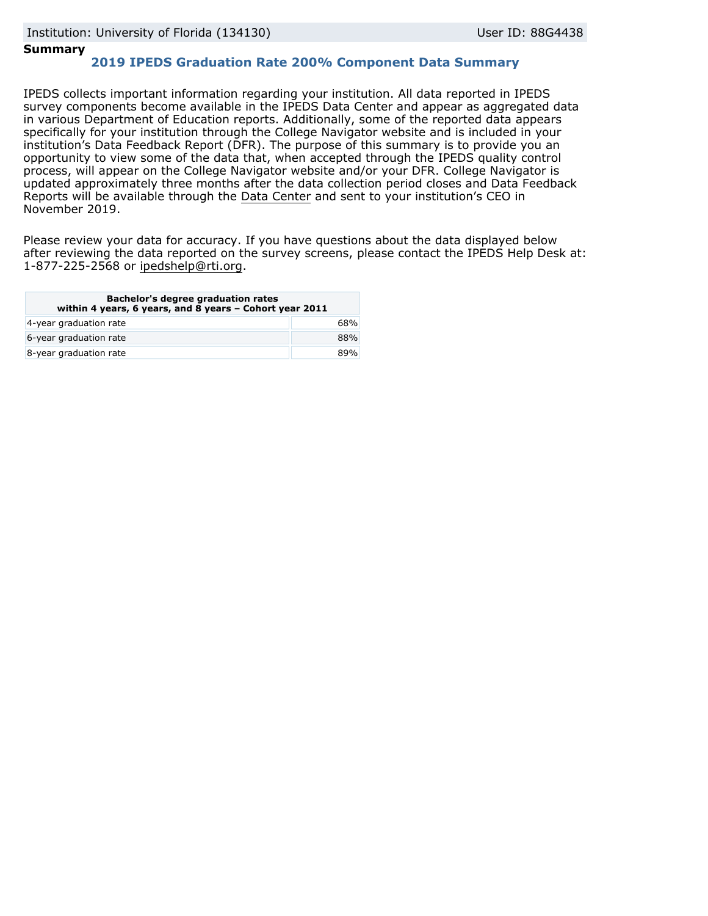## **Summary**

# **2019 IPEDS Graduation Rate 200% Component Data Summary**

IPEDS collects important information regarding your institution. All data reported in IPEDS survey components become available in the IPEDS Data Center and appear as aggregated data in various Department of Education reports. Additionally, some of the reported data appears specifically for your institution through the College Navigator website and is included in your institution's Data Feedback Report (DFR). The purpose of this summary is to provide you an opportunity to view some of the data that, when accepted through the IPEDS quality control process, will appear on the College Navigator website and/or your DFR. College Navigator is updated approximately three months after the data collection period closes and Data Feedback Reports will be available through the [Data Center](https://nces.ed.gov/ipeds/use-the-data) and sent to your institution's CEO in November 2019.

Please review your data for accuracy. If you have questions about the data displayed below after reviewing the data reported on the survey screens, please contact the IPEDS Help Desk at: 1-877-225-2568 or ipedshelp@rti.org.

| Bachelor's degree graduation rates<br>within 4 years, 6 years, and 8 years - Cohort year 2011 |     |  |  |
|-----------------------------------------------------------------------------------------------|-----|--|--|
| 4-year graduation rate                                                                        | 68% |  |  |
| 6-year graduation rate                                                                        | 88% |  |  |
| 8-year graduation rate                                                                        | 89% |  |  |